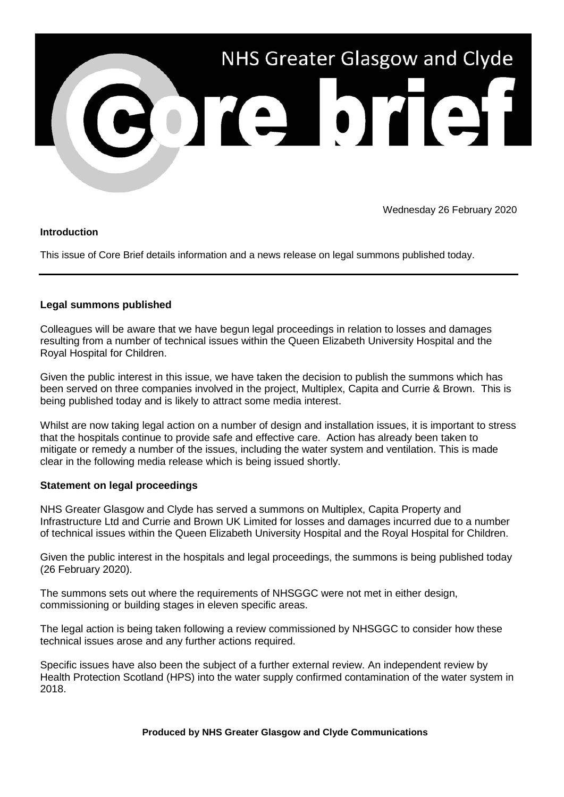

Wednesday 26 February 2020

## **Introduction**

This issue of Core Brief details information and a news release on legal summons published today.

# **Legal summons published**

Colleagues will be aware that we have begun legal proceedings in relation to losses and damages resulting from a number of technical issues within the Queen Elizabeth University Hospital and the Royal Hospital for Children.

Given the public interest in this issue, we have taken the decision to publish the summons which has been served on three companies involved in the project, Multiplex, Capita and Currie & Brown. This is being published today and is likely to attract some media interest.

Whilst are now taking legal action on a number of design and installation issues, it is important to stress that the hospitals continue to provide safe and effective care. Action has already been taken to mitigate or remedy a number of the issues, including the water system and ventilation. This is made clear in the following media release which is being issued shortly.

# **Statement on legal proceedings**

NHS Greater Glasgow and Clyde has served a summons on Multiplex, Capita Property and Infrastructure Ltd and Currie and Brown UK Limited for losses and damages incurred due to a number of technical issues within the Queen Elizabeth University Hospital and the Royal Hospital for Children.

Given the public interest in the hospitals and legal proceedings, the summons is being published today (26 February 2020).

The summons sets out where the requirements of NHSGGC were not met in either design, commissioning or building stages in eleven specific areas.

The legal action is being taken following a review commissioned by NHSGGC to consider how these technical issues arose and any further actions required.

Specific issues have also been the subject of a further external review. An independent review by Health Protection Scotland (HPS) into the water supply confirmed contamination of the water system in 2018.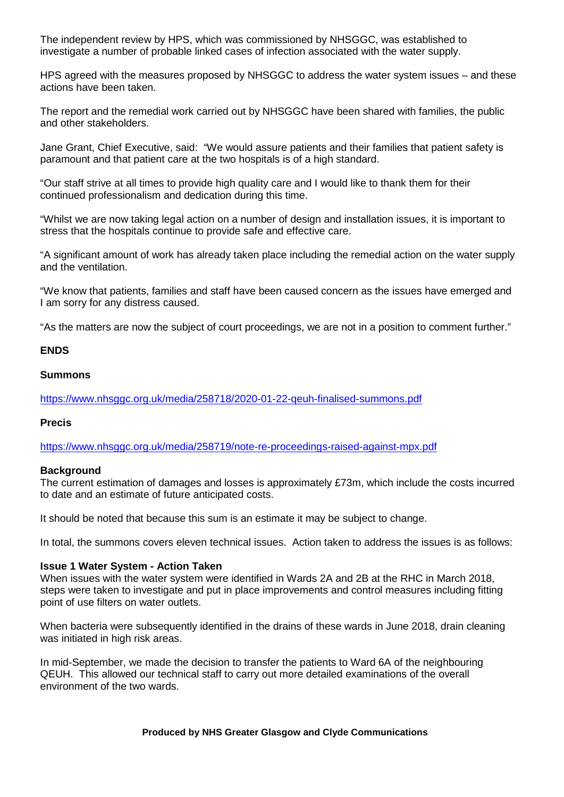The independent review by HPS, which was commissioned by NHSGGC, was established to investigate a number of probable linked cases of infection associated with the water supply.

HPS agreed with the measures proposed by NHSGGC to address the water system issues – and these actions have been taken.

The report and the remedial work carried out by NHSGGC have been shared with families, the public and other stakeholders.

Jane Grant, Chief Executive, said: "We would assure patients and their families that patient safety is paramount and that patient care at the two hospitals is of a high standard.

"Our staff strive at all times to provide high quality care and I would like to thank them for their continued professionalism and dedication during this time.

"Whilst we are now taking legal action on a number of design and installation issues, it is important to stress that the hospitals continue to provide safe and effective care.

"A significant amount of work has already taken place including the remedial action on the water supply and the ventilation.

"We know that patients, families and staff have been caused concern as the issues have emerged and I am sorry for any distress caused.

"As the matters are now the subject of court proceedings, we are not in a position to comment further."

### **ENDS**

## **Summons**

<https://www.nhsggc.org.uk/media/258718/2020-01-22-qeuh-finalised-summons.pdf>

### **Precis**

<https://www.nhsggc.org.uk/media/258719/note-re-proceedings-raised-against-mpx.pdf>

### **Background**

The current estimation of damages and losses is approximately £73m, which include the costs incurred to date and an estimate of future anticipated costs.

It should be noted that because this sum is an estimate it may be subject to change.

In total, the summons covers eleven technical issues. Action taken to address the issues is as follows:

### **Issue 1 Water System - Action Taken**

When issues with the water system were identified in Wards 2A and 2B at the RHC in March 2018, steps were taken to investigate and put in place improvements and control measures including fitting point of use filters on water outlets.

When bacteria were subsequently identified in the drains of these wards in June 2018, drain cleaning was initiated in high risk areas.

In mid-September, we made the decision to transfer the patients to Ward 6A of the neighbouring QEUH. This allowed our technical staff to carry out more detailed examinations of the overall environment of the two wards.